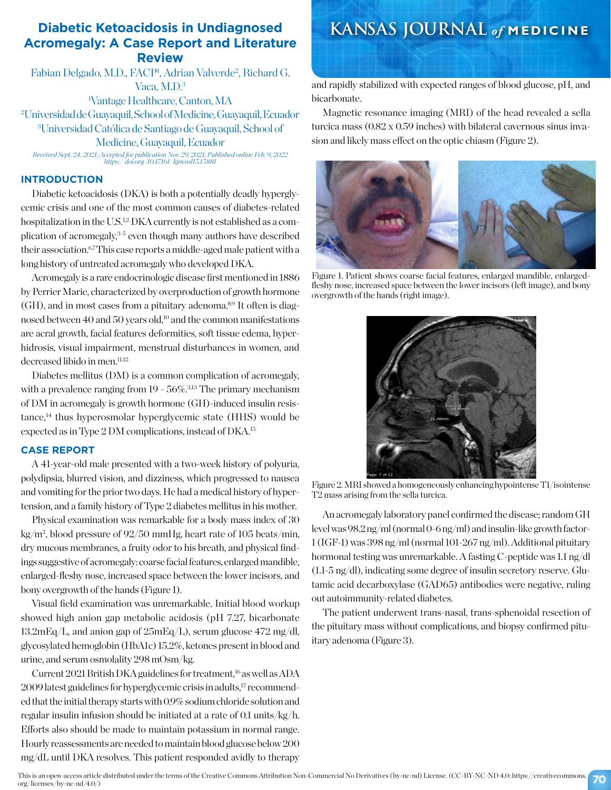## **Diabetic Ketoacidosis in Undiagnosed Acromegaly: A Case Report and Literature Review**

Fabian Delgado, M.D., FACP<sup>1</sup>, Adrian Valverde<sup>2</sup>, Richard G. Vaca, M.D.3

 Vantage Healthcare, Canton, MA Universidad de Guayaquil, School of Medicine, Guayaquil, Ecuador Universidad Católica de Santiago de Guayaquil, School of Medicine, Guayaquil, Ecuador

*Received Sept. 24, 2021; Accepted for publication Nov. 29, 2021; Published online Feb. 9, 2022 https://doi.org/10.17161/kjm.vol15.15881*

### **INTRODUCTION**

Diabetic ketoacidosis (DKA) is both a potentially deadly hyperglycemic crisis and one of the most common causes of diabetes-related hospitalization in the U.S.<sup>1,2</sup> DKA currently is not established as a complication of acromegaly,3-5 even though many authors have described their association.<sup>6,7</sup> This case reports a middle-aged male patient with a long history of untreated acromegaly who developed DKA.

Acromegaly is a rare endocrinologic disease first mentioned in 1886 by Perrier Marie, characterized by overproduction of growth hormone  $(GH)$ , and in most cases from a pituitary adenoma.<sup>8,9</sup> It often is diagnosed between 40 and 50 years old,<sup>10</sup> and the common manifestations are acral growth, facial features deformities, soft tissue edema, hyperhidrosis, visual impairment, menstrual disturbances in women, and decreased libido in men.<sup>11,12</sup>

Diabetes mellitus (DM) is a common complication of acromegaly, with a prevalence ranging from  $19 - 56\%$ .<sup>3,13</sup> The primary mechanism of DM in acromegaly is growth hormone (GH)-induced insulin resis $t$ ance, $14$  thus hyperosmolar hyperglycemic state (HHS) would be expected as in Type 2 DM complications, instead of DKA.15

## **CASE REPORT**

A 41-year-old male presented with a two-week history of polyuria, polydipsia, blurred vision, and dizziness, which progressed to nausea and vomiting for the prior two days. He had a medical history of hypertension, and a family history of Type 2 diabetes mellitus in his mother.

Physical examination was remarkable for a body mass index of 30 kg/m2 , blood pressure of 92/50 mmHg, heart rate of 105 beats/min, dry mucous membranes, a fruity odor to his breath, and physical findings suggestive of acromegaly: coarse facial features, enlarged mandible, enlarged-fleshy nose, increased space between the lower incisors, and bony overgrowth of the hands (Figure 1).

Visual field examination was unremarkable. Initial blood workup showed high anion gap metabolic acidosis (pH 7.27, bicarbonate 13.2mEq/L, and anion gap of 25mEq/L), serum glucose 472 mg/dl, glycosylated hemoglobin (HbA1c) 15.2%, ketones present in blood and urine, and serum osmolality 298 mOsm/kg.

Current 2021 British DKA guidelines for treatment,<sup>16</sup> as well as ADA 2009 latest guidelines for hyperglycemic crisis in adults,17 recommended that the initial therapy starts with 0.9% sodium chloride solution and regular insulin infusion should be initiated at a rate of 0.1 units/kg/h. Efforts also should be made to maintain potassium in normal range. Hourly reassessments are needed to maintain blood glucose below 200 mg/dL until DKA resolves. This patient responded avidly to therapy

## **KANSAS JOURNAL** *of* **MEDICINE**

and rapidly stabilized with expected ranges of blood glucose, pH, and bicarbonate.

Magnetic resonance imaging (MRI) of the head revealed a sella turcica mass (0.82 x 0.59 inches) with bilateral cavernous sinus invasion and likely mass effect on the optic chiasm (Figure 2).



Figure 1. Patient shows coarse facial features, enlarged mandible, enlargedfleshy nose, increased space between the lower incisors (left image), and bony overgrowth of the hands (right image).



Figure 2. MRI showed a homogeneously enhancing hypointense T1/isointense T2 mass arising from the sella turcica.

An acromegaly laboratory panel confirmed the disease; random GH level was 98.2 ng/ml (normal 0-6 ng/ml) and insulin-like growth factor-1 (IGF-1) was 398 ng/ml (normal 101-267 ng/ml). Additional pituitary hormonal testing was unremarkable. A fasting C-peptide was 1.1 ng/dl (1.1-5 ng/dl), indicating some degree of insulin secretory reserve. Glutamic acid decarboxylase (GAD65) antibodies were negative, ruling out autoimmunity-related diabetes.

The patient underwent trans-nasal, trans-sphenoidal resection of the pituitary mass without complications, and biopsy confirmed pituitary adenoma (Figure 3).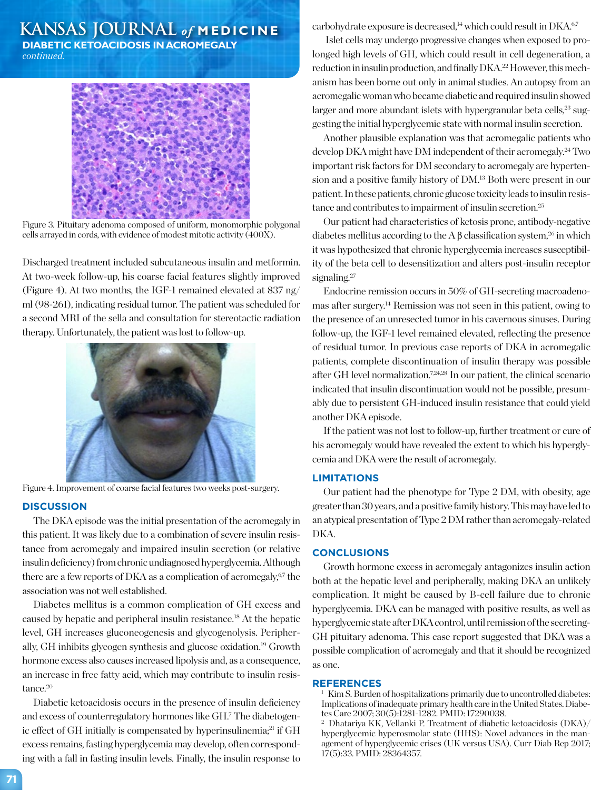# **KANSAS JOURNAL** *of* **MEDICINE**

**DIABETIC KETOACIDOSIS IN ACROMEGALY** *continued.*



Figure 3. Pituitary adenoma composed of uniform, monomorphic polygonal cells arrayed in cords, with evidence of modest mitotic activity (400X).

Discharged treatment included subcutaneous insulin and metformin. At two-week follow-up, his coarse facial features slightly improved (Figure 4). At two months, the IGF-1 remained elevated at 837 ng/ ml (98-261), indicating residual tumor. The patient was scheduled for a second MRI of the sella and consultation for stereotactic radiation therapy. Unfortunately, the patient was lost to follow-up.



Figure 4. Improvement of coarse facial features two weeks post-surgery.

### **DISCUSSION**

The DKA episode was the initial presentation of the acromegaly in this patient. It was likely due to a combination of severe insulin resistance from acromegaly and impaired insulin secretion (or relative insulin deficiency) from chronic undiagnosed hyperglycemia. Although there are a few reports of DKA as a complication of acromegaly.<sup>67</sup> the association was not well established.

Diabetes mellitus is a common complication of GH excess and caused by hepatic and peripheral insulin resistance.18 At the hepatic level, GH increases gluconeogenesis and glycogenolysis. Peripherally, GH inhibits glycogen synthesis and glucose oxidation.19 Growth hormone excess also causes increased lipolysis and, as a consequence, an increase in free fatty acid, which may contribute to insulin resistance.<sup>20</sup>

Diabetic ketoacidosis occurs in the presence of insulin deficiency and excess of counterregulatory hormones like GH.7 The diabetogenic effect of GH initially is compensated by hyperinsulinemia;<sup>21</sup> if GH excess remains, fasting hyperglycemia may develop, often corresponding with a fall in fasting insulin levels. Finally, the insulin response to

carbohydrate exposure is decreased,<sup>14</sup> which could result in  $\rm{DKA}^{6,7}$ 

 Islet cells may undergo progressive changes when exposed to prolonged high levels of GH, which could result in cell degeneration, a reduction in insulin production, and finally DKA.22 However, this mechanism has been borne out only in animal studies. An autopsy from an acromegalic woman who became diabetic and required insulin showed larger and more abundant islets with hypergranular beta cells,<sup>23</sup> suggesting the initial hyperglycemic state with normal insulin secretion.

Another plausible explanation was that acromegalic patients who develop DKA might have DM independent of their acromegaly.24 Two important risk factors for DM secondary to acromegaly are hypertension and a positive family history of DM.13 Both were present in our patient. In these patients, chronic glucose toxicity leads to insulin resistance and contributes to impairment of insulin secretion.25

Our patient had characteristics of ketosis prone, antibody-negative diabetes mellitus according to the A  $\beta$  classification system,<sup>26</sup> in which it was hypothesized that chronic hyperglycemia increases susceptibility of the beta cell to desensitization and alters post-insulin receptor signaling.<sup>27</sup>

Endocrine remission occurs in 50% of GH-secreting macroadenomas after surgery.14 Remission was not seen in this patient, owing to the presence of an unresected tumor in his cavernous sinuses. During follow-up, the IGF-1 level remained elevated, reflecting the presence of residual tumor. In previous case reports of DKA in acromegalic patients, complete discontinuation of insulin therapy was possible after GH level normalization.7,24,28 In our patient, the clinical scenario indicated that insulin discontinuation would not be possible, presumably due to persistent GH-induced insulin resistance that could yield another DKA episode.

If the patient was not lost to follow-up, further treatment or cure of his acromegaly would have revealed the extent to which his hyperglycemia and DKA were the result of acromegaly.

## **LIMITATIONS**

Our patient had the phenotype for Type 2 DM, with obesity, age greater than 30 years, and a positive family history. This may have led to an atypical presentation of Type 2 DM rather than acromegaly-related DKA.

### **CONCLUSIONS**

Growth hormone excess in acromegaly antagonizes insulin action both at the hepatic level and peripherally, making DKA an unlikely complication. It might be caused by B-cell failure due to chronic hyperglycemia. DKA can be managed with positive results, as well as hyperglycemic state after DKA control, until remission of the secreting-GH pituitary adenoma. This case report suggested that DKA was a possible complication of acromegaly and that it should be recognized as one.

### **REFERENCES**

 $1$  Kim S. Burden of hospitalizations primarily due to uncontrolled diabetes: Implications of inadequate primary health care in the United States. Diabetes Care 2007; 30(5):1281-1282. PMID: 17290038.

<sup>2</sup> Dhatariya KK, Vellanki P. Treatment of diabetic ketoacidosis (DKA)/ hyperglycemic hyperosmolar state (HHS): Novel advances in the management of hyperglycemic crises (UK versus USA). Curr Diab Rep 2017; 17(5):33. PMID: 28364357.